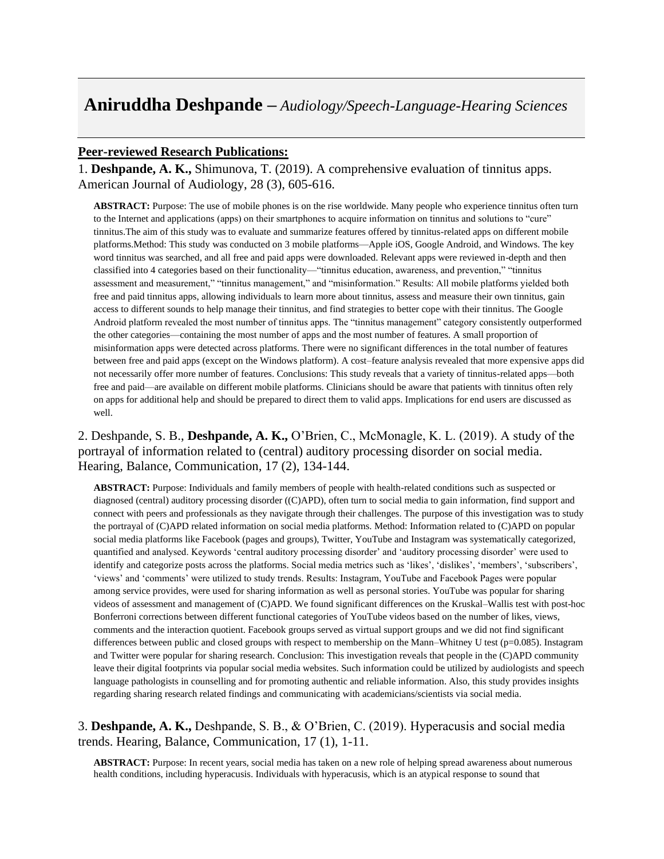# **Aniruddha Deshpande –** *Audiology/Speech-Language-Hearing Sciences*

#### **Peer-reviewed Research Publications:**

1. **Deshpande, A. K.,** Shimunova, T. (2019). A comprehensive evaluation of tinnitus apps. American Journal of Audiology, 28 (3), 605-616.

**ABSTRACT:** Purpose: The use of mobile phones is on the rise worldwide. Many people who experience tinnitus often turn to the Internet and applications (apps) on their smartphones to acquire information on tinnitus and solutions to "cure" tinnitus.The aim of this study was to evaluate and summarize features offered by tinnitus-related apps on different mobile platforms.Method: This study was conducted on 3 mobile platforms—Apple iOS, Google Android, and Windows. The key word tinnitus was searched, and all free and paid apps were downloaded. Relevant apps were reviewed in-depth and then classified into 4 categories based on their functionality—"tinnitus education, awareness, and prevention," "tinnitus assessment and measurement," "tinnitus management," and "misinformation." Results: All mobile platforms yielded both free and paid tinnitus apps, allowing individuals to learn more about tinnitus, assess and measure their own tinnitus, gain access to different sounds to help manage their tinnitus, and find strategies to better cope with their tinnitus. The Google Android platform revealed the most number of tinnitus apps. The "tinnitus management" category consistently outperformed the other categories—containing the most number of apps and the most number of features. A small proportion of misinformation apps were detected across platforms. There were no significant differences in the total number of features between free and paid apps (except on the Windows platform). A cost–feature analysis revealed that more expensive apps did not necessarily offer more number of features. Conclusions: This study reveals that a variety of tinnitus-related apps—both free and paid—are available on different mobile platforms. Clinicians should be aware that patients with tinnitus often rely on apps for additional help and should be prepared to direct them to valid apps. Implications for end users are discussed as well.

2. Deshpande, S. B., **Deshpande, A. K.,** O'Brien, C., McMonagle, K. L. (2019). A study of the portrayal of information related to (central) auditory processing disorder on social media. Hearing, Balance, Communication, 17 (2), 134-144.

**ABSTRACT:** Purpose: Individuals and family members of people with health-related conditions such as suspected or diagnosed (central) auditory processing disorder ((C)APD), often turn to social media to gain information, find support and connect with peers and professionals as they navigate through their challenges. The purpose of this investigation was to study the portrayal of (C)APD related information on social media platforms. Method: Information related to (C)APD on popular social media platforms like Facebook (pages and groups), Twitter, YouTube and Instagram was systematically categorized, quantified and analysed. Keywords 'central auditory processing disorder' and 'auditory processing disorder' were used to identify and categorize posts across the platforms. Social media metrics such as 'likes', 'dislikes', 'members', 'subscribers', 'views' and 'comments' were utilized to study trends. Results: Instagram, YouTube and Facebook Pages were popular among service provides, were used for sharing information as well as personal stories. YouTube was popular for sharing videos of assessment and management of (C)APD. We found significant differences on the Kruskal–Wallis test with post-hoc Bonferroni corrections between different functional categories of YouTube videos based on the number of likes, views, comments and the interaction quotient. Facebook groups served as virtual support groups and we did not find significant differences between public and closed groups with respect to membership on the Mann–Whitney U test (p=0.085). Instagram and Twitter were popular for sharing research. Conclusion: This investigation reveals that people in the (C)APD community leave their digital footprints via popular social media websites. Such information could be utilized by audiologists and speech language pathologists in counselling and for promoting authentic and reliable information. Also, this study provides insights regarding sharing research related findings and communicating with academicians/scientists via social media.

#### 3. **Deshpande, A. K.,** Deshpande, S. B., & O'Brien, C. (2019). Hyperacusis and social media trends. Hearing, Balance, Communication, 17 (1), 1-11.

**ABSTRACT:** Purpose: In recent years, social media has taken on a new role of helping spread awareness about numerous health conditions, including hyperacusis. Individuals with hyperacusis, which is an atypical response to sound that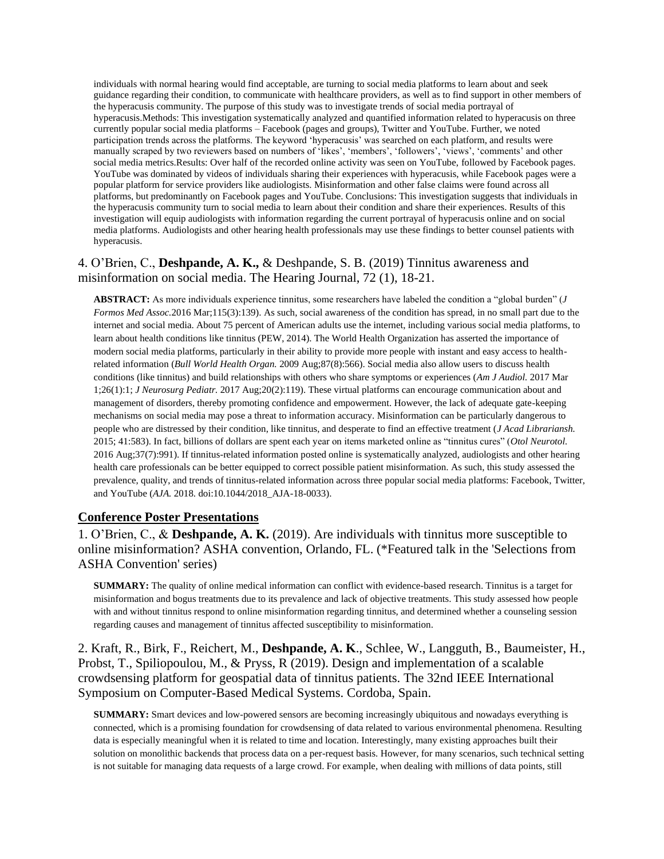individuals with normal hearing would find acceptable, are turning to social media platforms to learn about and seek guidance regarding their condition, to communicate with healthcare providers, as well as to find support in other members of the hyperacusis community. The purpose of this study was to investigate trends of social media portrayal of hyperacusis.Methods: This investigation systematically analyzed and quantified information related to hyperacusis on three currently popular social media platforms – Facebook (pages and groups), Twitter and YouTube. Further, we noted participation trends across the platforms. The keyword 'hyperacusis' was searched on each platform, and results were manually scraped by two reviewers based on numbers of 'likes', 'members', 'followers', 'views', 'comments' and other social media metrics.Results: Over half of the recorded online activity was seen on YouTube, followed by Facebook pages. YouTube was dominated by videos of individuals sharing their experiences with hyperacusis, while Facebook pages were a popular platform for service providers like audiologists. Misinformation and other false claims were found across all platforms, but predominantly on Facebook pages and YouTube. Conclusions: This investigation suggests that individuals in the hyperacusis community turn to social media to learn about their condition and share their experiences. Results of this investigation will equip audiologists with information regarding the current portrayal of hyperacusis online and on social media platforms. Audiologists and other hearing health professionals may use these findings to better counsel patients with hyperacusis.

#### 4. O'Brien, C., **Deshpande, A. K.,** & Deshpande, S. B. (2019) Tinnitus awareness and misinformation on social media. The Hearing Journal, 72 (1), 18-21.

**ABSTRACT:** As more individuals experience tinnitus, some researchers have labeled the condition a "global burden" (*J Formos Med Assoc.*2016 Mar;115(3):139). As such, social awareness of the condition has spread, in no small part due to the internet and social media. About 75 percent of American adults use the internet, including various social media platforms, to learn about health conditions like tinnitus (PEW, 2014). The World Health Organization has asserted the importance of modern social media platforms, particularly in their ability to provide more people with instant and easy access to healthrelated information (*Bull World Health Organ.* 2009 Aug;87(8):566). Social media also allow users to discuss health conditions (like tinnitus) and build relationships with others who share symptoms or experiences (*Am J Audiol.* 2017 Mar 1;26(1):1; *J Neurosurg Pediatr.* 2017 Aug;20(2):119). These virtual platforms can encourage communication about and management of disorders, thereby promoting confidence and empowerment. However, the lack of adequate gate-keeping mechanisms on social media may pose a threat to information accuracy. Misinformation can be particularly dangerous to people who are distressed by their condition, like tinnitus, and desperate to find an effective treatment (*J Acad Librariansh.*  2015; 41:583). In fact, billions of dollars are spent each year on items marketed online as "tinnitus cures" (*Otol Neurotol.* 2016 Aug;37(7):991). If tinnitus-related information posted online is systematically analyzed, audiologists and other hearing health care professionals can be better equipped to correct possible patient misinformation. As such, this study assessed the prevalence, quality, and trends of tinnitus-related information across three popular social media platforms: Facebook, Twitter, and YouTube (*AJA.* 2018. doi:10.1044/2018\_AJA-18-0033).

#### **Conference Poster Presentations**

1. O'Brien, C., & **Deshpande, A. K.** (2019). Are individuals with tinnitus more susceptible to online misinformation? ASHA convention, Orlando, FL. (\*Featured talk in the 'Selections from ASHA Convention' series)

**SUMMARY:** The quality of online medical information can conflict with evidence-based research. Tinnitus is a target for misinformation and bogus treatments due to its prevalence and lack of objective treatments. This study assessed how people with and without tinnitus respond to online misinformation regarding tinnitus, and determined whether a counseling session regarding causes and management of tinnitus affected susceptibility to misinformation.

2. Kraft, R., Birk, F., Reichert, M., **Deshpande, A. K**., Schlee, W., Langguth, B., Baumeister, H., Probst, T., Spiliopoulou, M., & Pryss, R (2019). Design and implementation of a scalable crowdsensing platform for geospatial data of tinnitus patients. The 32nd IEEE International Symposium on Computer-Based Medical Systems. Cordoba, Spain.

**SUMMARY:** Smart devices and low-powered sensors are becoming increasingly ubiquitous and nowadays everything is connected, which is a promising foundation for crowdsensing of data related to various environmental phenomena. Resulting data is especially meaningful when it is related to time and location. Interestingly, many existing approaches built their solution on monolithic backends that process data on a per-request basis. However, for many scenarios, such technical setting is not suitable for managing data requests of a large crowd. For example, when dealing with millions of data points, still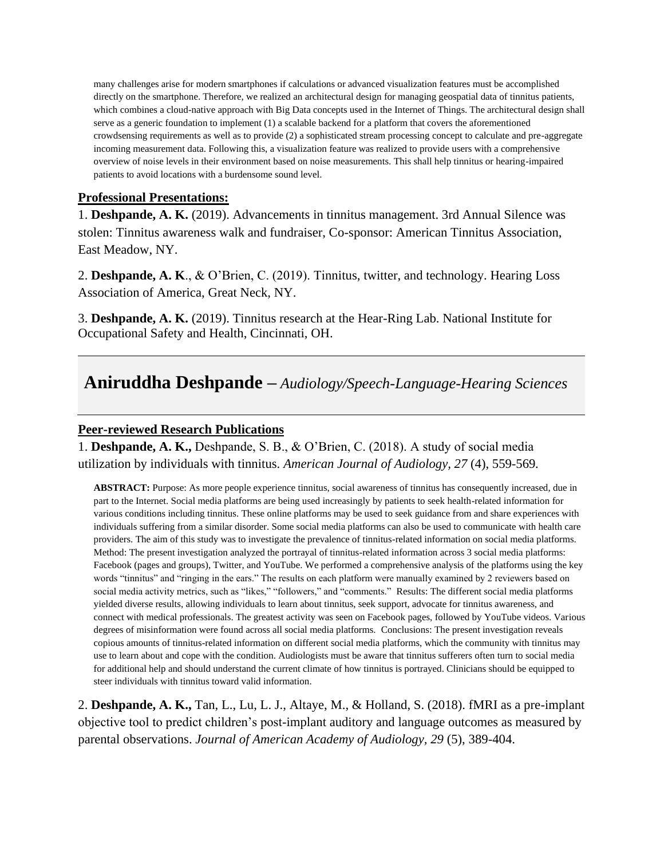many challenges arise for modern smartphones if calculations or advanced visualization features must be accomplished directly on the smartphone. Therefore, we realized an architectural design for managing geospatial data of tinnitus patients, which combines a cloud-native approach with Big Data concepts used in the Internet of Things. The architectural design shall serve as a generic foundation to implement (1) a scalable backend for a platform that covers the aforementioned crowdsensing requirements as well as to provide (2) a sophisticated stream processing concept to calculate and pre-aggregate incoming measurement data. Following this, a visualization feature was realized to provide users with a comprehensive overview of noise levels in their environment based on noise measurements. This shall help tinnitus or hearing-impaired patients to avoid locations with a burdensome sound level.

### **Professional Presentations:**

1. **Deshpande, A. K.** (2019). Advancements in tinnitus management. 3rd Annual Silence was stolen: Tinnitus awareness walk and fundraiser, Co-sponsor: American Tinnitus Association, East Meadow, NY.

2. **Deshpande, A. K**., & O'Brien, C. (2019). Tinnitus, twitter, and technology. Hearing Loss Association of America, Great Neck, NY.

3. **Deshpande, A. K.** (2019). Tinnitus research at the Hear-Ring Lab. National Institute for Occupational Safety and Health, Cincinnati, OH.

# **Aniruddha Deshpande –** *Audiology/Speech-Language-Hearing Sciences*

## **Peer-reviewed Research Publications**

1. **Deshpande, A. K.,** Deshpande, S. B., & O'Brien, C. (2018). A study of social media utilization by individuals with tinnitus. *American Journal of Audiology, 27* (4), 559-569*.*

**ABSTRACT:** Purpose: As more people experience tinnitus, social awareness of tinnitus has consequently increased, due in part to the Internet. Social media platforms are being used increasingly by patients to seek health-related information for various conditions including tinnitus. These online platforms may be used to seek guidance from and share experiences with individuals suffering from a similar disorder. Some social media platforms can also be used to communicate with health care providers. The aim of this study was to investigate the prevalence of tinnitus-related information on social media platforms. Method: The present investigation analyzed the portrayal of tinnitus-related information across 3 social media platforms: Facebook (pages and groups), Twitter, and YouTube. We performed a comprehensive analysis of the platforms using the key words "tinnitus" and "ringing in the ears." The results on each platform were manually examined by 2 reviewers based on social media activity metrics, such as "likes," "followers," and "comments." Results: The different social media platforms yielded diverse results, allowing individuals to learn about tinnitus, seek support, advocate for tinnitus awareness, and connect with medical professionals. The greatest activity was seen on Facebook pages, followed by YouTube videos. Various degrees of misinformation were found across all social media platforms. Conclusions: The present investigation reveals copious amounts of tinnitus-related information on different social media platforms, which the community with tinnitus may use to learn about and cope with the condition. Audiologists must be aware that tinnitus sufferers often turn to social media for additional help and should understand the current climate of how tinnitus is portrayed. Clinicians should be equipped to steer individuals with tinnitus toward valid information.

2. **Deshpande, A. K.,** Tan, L., Lu, L. J., Altaye, M., & Holland, S. (2018). fMRI as a pre-implant objective tool to predict children's post-implant auditory and language outcomes as measured by parental observations. *Journal of American Academy of Audiology, 29* (5), 389-404.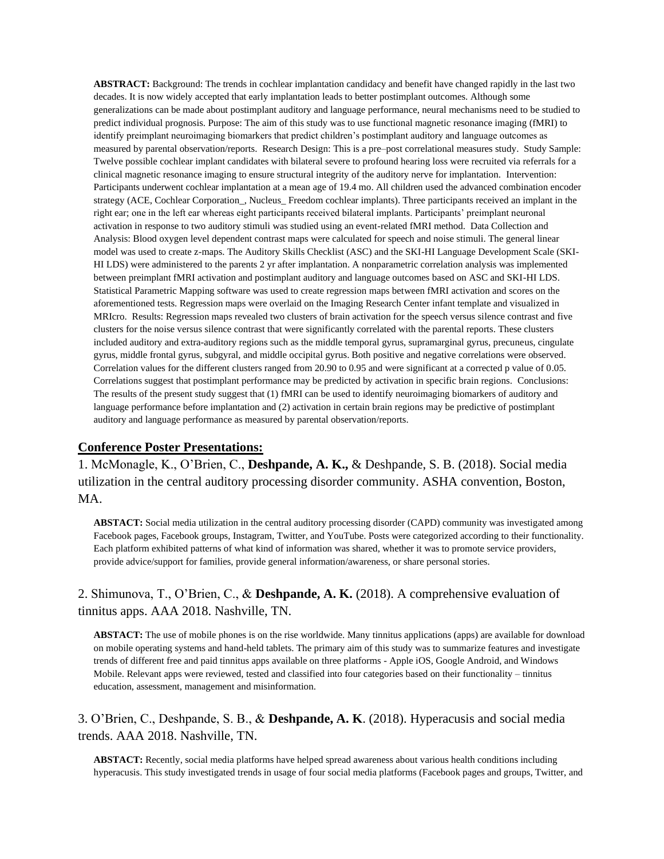**ABSTRACT:** Background: The trends in cochlear implantation candidacy and benefit have changed rapidly in the last two decades. It is now widely accepted that early implantation leads to better postimplant outcomes. Although some generalizations can be made about postimplant auditory and language performance, neural mechanisms need to be studied to predict individual prognosis. Purpose: The aim of this study was to use functional magnetic resonance imaging (fMRI) to identify preimplant neuroimaging biomarkers that predict children's postimplant auditory and language outcomes as measured by parental observation/reports. Research Design: This is a pre–post correlational measures study. Study Sample: Twelve possible cochlear implant candidates with bilateral severe to profound hearing loss were recruited via referrals for a clinical magnetic resonance imaging to ensure structural integrity of the auditory nerve for implantation. Intervention: Participants underwent cochlear implantation at a mean age of 19.4 mo. All children used the advanced combination encoder strategy (ACE, Cochlear Corporation\_, Nucleus\_ Freedom cochlear implants). Three participants received an implant in the right ear; one in the left ear whereas eight participants received bilateral implants. Participants' preimplant neuronal activation in response to two auditory stimuli was studied using an event-related fMRI method. Data Collection and Analysis: Blood oxygen level dependent contrast maps were calculated for speech and noise stimuli. The general linear model was used to create z-maps. The Auditory Skills Checklist (ASC) and the SKI-HI Language Development Scale (SKI-HI LDS) were administered to the parents 2 yr after implantation. A nonparametric correlation analysis was implemented between preimplant fMRI activation and postimplant auditory and language outcomes based on ASC and SKI-HI LDS. Statistical Parametric Mapping software was used to create regression maps between fMRI activation and scores on the aforementioned tests. Regression maps were overlaid on the Imaging Research Center infant template and visualized in MRIcro. Results: Regression maps revealed two clusters of brain activation for the speech versus silence contrast and five clusters for the noise versus silence contrast that were significantly correlated with the parental reports. These clusters included auditory and extra-auditory regions such as the middle temporal gyrus, supramarginal gyrus, precuneus, cingulate gyrus, middle frontal gyrus, subgyral, and middle occipital gyrus. Both positive and negative correlations were observed. Correlation values for the different clusters ranged from 20.90 to 0.95 and were significant at a corrected p value of 0.05. Correlations suggest that postimplant performance may be predicted by activation in specific brain regions. Conclusions: The results of the present study suggest that (1) fMRI can be used to identify neuroimaging biomarkers of auditory and language performance before implantation and (2) activation in certain brain regions may be predictive of postimplant auditory and language performance as measured by parental observation/reports.

#### **Conference Poster Presentations:**

1. McMonagle, K., O'Brien, C., **Deshpande, A. K.,** & Deshpande, S. B. (2018). Social media utilization in the central auditory processing disorder community. ASHA convention, Boston, MA.

**ABSTACT:** Social media utilization in the central auditory processing disorder (CAPD) community was investigated among Facebook pages, Facebook groups, Instagram, Twitter, and YouTube. Posts were categorized according to their functionality. Each platform exhibited patterns of what kind of information was shared, whether it was to promote service providers, provide advice/support for families, provide general information/awareness, or share personal stories.

## 2. Shimunova, T., O'Brien, C., & **Deshpande, A. K.** (2018). A comprehensive evaluation of tinnitus apps. AAA 2018. Nashville, TN.

**ABSTACT:** The use of mobile phones is on the rise worldwide. Many tinnitus applications (apps) are available for download on mobile operating systems and hand-held tablets. The primary aim of this study was to summarize features and investigate trends of different free and paid tinnitus apps available on three platforms - Apple iOS, Google Android, and Windows Mobile. Relevant apps were reviewed, tested and classified into four categories based on their functionality – tinnitus education, assessment, management and misinformation.

## 3. O'Brien, C., Deshpande, S. B., & **Deshpande, A. K**. (2018). Hyperacusis and social media trends. AAA 2018. Nashville, TN.

**ABSTACT:** Recently, social media platforms have helped spread awareness about various health conditions including hyperacusis. This study investigated trends in usage of four social media platforms (Facebook pages and groups, Twitter, and